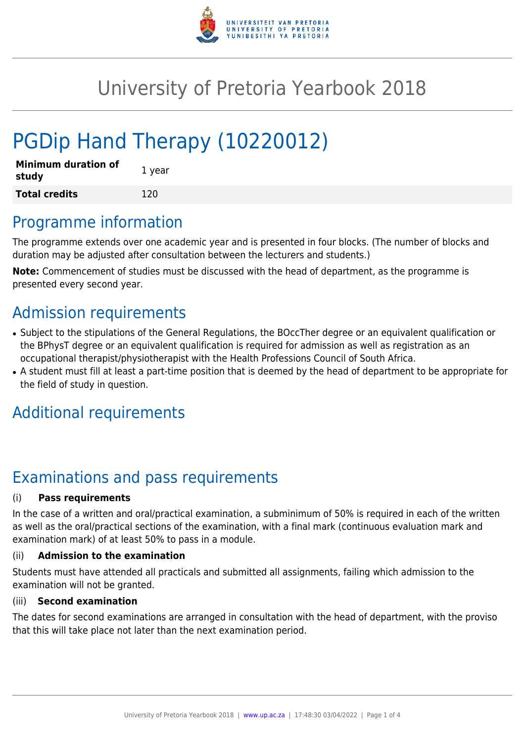

# University of Pretoria Yearbook 2018

# PGDip Hand Therapy (10220012)

| <b>Minimum duration of</b><br>study | 1 year |
|-------------------------------------|--------|
| <b>Total credits</b>                | 120    |

## Programme information

The programme extends over one academic year and is presented in four blocks. (The number of blocks and duration may be adjusted after consultation between the lecturers and students.)

**Note:** Commencement of studies must be discussed with the head of department, as the programme is presented every second year.

# Admission requirements

- Subject to the stipulations of the General Regulations, the BOccTher degree or an equivalent qualification or the BPhysT degree or an equivalent qualification is required for admission as well as registration as an occupational therapist/physiotherapist with the Health Professions Council of South Africa.
- A student must fill at least a part-time position that is deemed by the head of department to be appropriate for the field of study in question.

# Additional requirements

# Examinations and pass requirements

### (i) **Pass requirements**

In the case of a written and oral/practical examination, a subminimum of 50% is required in each of the written as well as the oral/practical sections of the examination, with a final mark (continuous evaluation mark and examination mark) of at least 50% to pass in a module.

### (ii) **Admission to the examination**

Students must have attended all practicals and submitted all assignments, failing which admission to the examination will not be granted.

#### (iii) **Second examination**

The dates for second examinations are arranged in consultation with the head of department, with the proviso that this will take place not later than the next examination period.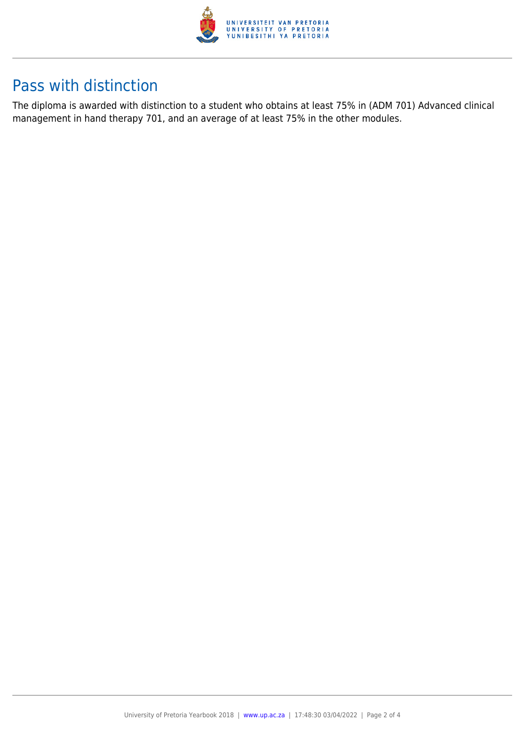

# Pass with distinction

The diploma is awarded with distinction to a student who obtains at least 75% in (ADM 701) Advanced clinical management in hand therapy 701, and an average of at least 75% in the other modules.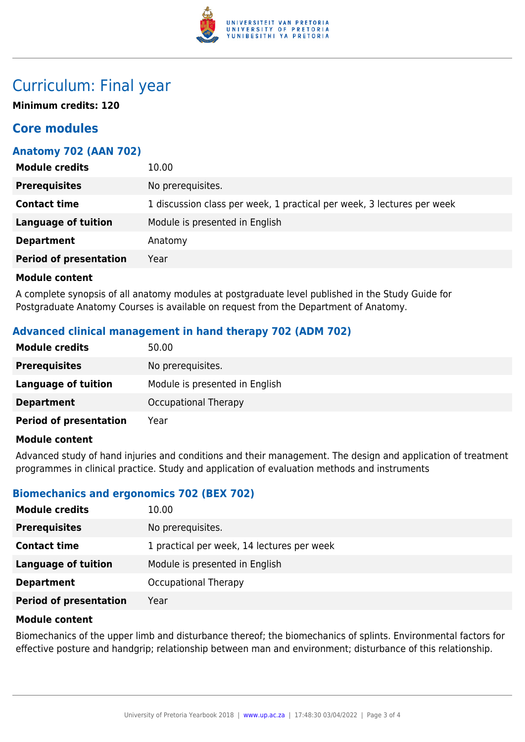

## Curriculum: Final year

**Minimum credits: 120**

### **Core modules**

### **Anatomy 702 (AAN 702)**

| <b>Module credits</b>         | 10.00                                                                  |
|-------------------------------|------------------------------------------------------------------------|
| <b>Prerequisites</b>          | No prerequisites.                                                      |
| <b>Contact time</b>           | 1 discussion class per week, 1 practical per week, 3 lectures per week |
| <b>Language of tuition</b>    | Module is presented in English                                         |
| <b>Department</b>             | Anatomy                                                                |
| <b>Period of presentation</b> | Year                                                                   |

#### **Module content**

A complete synopsis of all anatomy modules at postgraduate level published in the Study Guide for Postgraduate Anatomy Courses is available on request from the Department of Anatomy.

### **Advanced clinical management in hand therapy 702 (ADM 702)**

| <b>Module credits</b>         | 50.00                          |
|-------------------------------|--------------------------------|
| <b>Prerequisites</b>          | No prerequisites.              |
| <b>Language of tuition</b>    | Module is presented in English |
| <b>Department</b>             | <b>Occupational Therapy</b>    |
| <b>Period of presentation</b> | Year                           |

#### **Module content**

Advanced study of hand injuries and conditions and their management. The design and application of treatment programmes in clinical practice. Study and application of evaluation methods and instruments

### **Biomechanics and ergonomics 702 (BEX 702)**

| <b>Module credits</b>         | 10.00                                      |
|-------------------------------|--------------------------------------------|
| <b>Prerequisites</b>          | No prerequisites.                          |
| <b>Contact time</b>           | 1 practical per week, 14 lectures per week |
| Language of tuition           | Module is presented in English             |
| <b>Department</b>             | Occupational Therapy                       |
| <b>Period of presentation</b> | Year                                       |

#### **Module content**

Biomechanics of the upper limb and disturbance thereof; the biomechanics of splints. Environmental factors for effective posture and handgrip; relationship between man and environment; disturbance of this relationship.